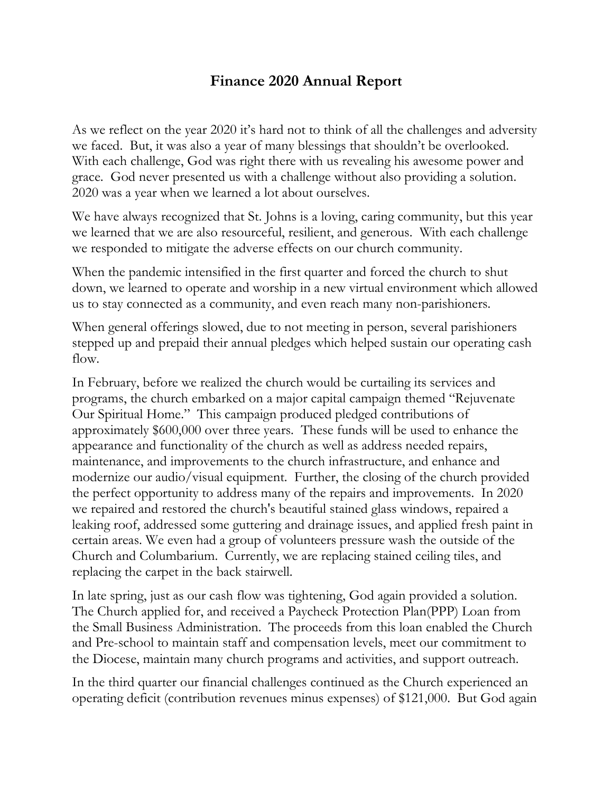## **Finance 2020 Annual Report**

As we reflect on the year 2020 it's hard not to think of all the challenges and adversity we faced. But, it was also a year of many blessings that shouldn't be overlooked. With each challenge, God was right there with us revealing his awesome power and grace. God never presented us with a challenge without also providing a solution. 2020 was a year when we learned a lot about ourselves.

We have always recognized that St. Johns is a loving, caring community, but this year we learned that we are also resourceful, resilient, and generous. With each challenge we responded to mitigate the adverse effects on our church community.

When the pandemic intensified in the first quarter and forced the church to shut down, we learned to operate and worship in a new virtual environment which allowed us to stay connected as a community, and even reach many non-parishioners.

When general offerings slowed, due to not meeting in person, several parishioners stepped up and prepaid their annual pledges which helped sustain our operating cash flow.

In February, before we realized the church would be curtailing its services and programs, the church embarked on a major capital campaign themed "Rejuvenate Our Spiritual Home." This campaign produced pledged contributions of approximately \$600,000 over three years. These funds will be used to enhance the appearance and functionality of the church as well as address needed repairs, maintenance, and improvements to the church infrastructure, and enhance and modernize our audio/visual equipment. Further, the closing of the church provided the perfect opportunity to address many of the repairs and improvements. In 2020 we repaired and restored the church's beautiful stained glass windows, repaired a leaking roof, addressed some guttering and drainage issues, and applied fresh paint in certain areas. We even had a group of volunteers pressure wash the outside of the Church and Columbarium. Currently, we are replacing stained ceiling tiles, and replacing the carpet in the back stairwell.

In late spring, just as our cash flow was tightening, God again provided a solution. The Church applied for, and received a Paycheck Protection Plan(PPP) Loan from the Small Business Administration. The proceeds from this loan enabled the Church and Pre-school to maintain staff and compensation levels, meet our commitment to the Diocese, maintain many church programs and activities, and support outreach.

In the third quarter our financial challenges continued as the Church experienced an operating deficit (contribution revenues minus expenses) of \$121,000. But God again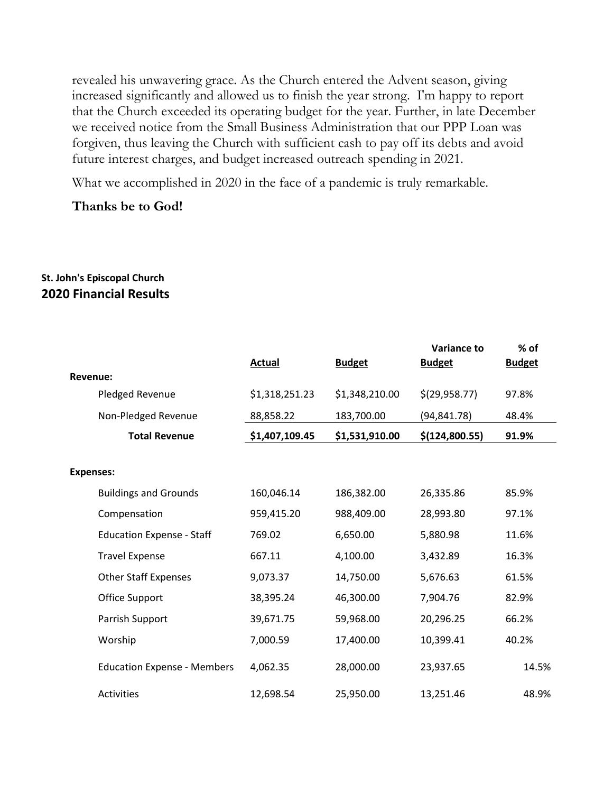revealed his unwavering grace. As the Church entered the Advent season, giving increased significantly and allowed us to finish the year strong. I'm happy to report that the Church exceeded its operating budget for the year. Further, in late December we received notice from the Small Business Administration that our PPP Loan was forgiven, thus leaving the Church with sufficient cash to pay off its debts and avoid future interest charges, and budget increased outreach spending in 2021.

What we accomplished in 2020 in the face of a pandemic is truly remarkable.

**Thanks be to God!** 

## **St. John's Episcopal Church 2020 Financial Results**

|                                    |                |                | <b>Variance to</b> | $%$ of        |
|------------------------------------|----------------|----------------|--------------------|---------------|
|                                    | <b>Actual</b>  | <b>Budget</b>  | <b>Budget</b>      | <b>Budget</b> |
| Revenue:                           |                |                |                    |               |
| Pledged Revenue                    | \$1,318,251.23 | \$1,348,210.00 | \$(29,958.77)      | 97.8%         |
| Non-Pledged Revenue                | 88,858.22      | 183,700.00     | (94, 841.78)       | 48.4%         |
| <b>Total Revenue</b>               | \$1,407,109.45 | \$1,531,910.00 | \$(124,800.55)     | 91.9%         |
|                                    |                |                |                    |               |
| <b>Expenses:</b>                   |                |                |                    |               |
| <b>Buildings and Grounds</b>       | 160,046.14     | 186,382.00     | 26,335.86          | 85.9%         |
| Compensation                       | 959,415.20     | 988,409.00     | 28,993.80          | 97.1%         |
| <b>Education Expense - Staff</b>   | 769.02         | 6,650.00       | 5,880.98           | 11.6%         |
| <b>Travel Expense</b>              | 667.11         | 4,100.00       | 3,432.89           | 16.3%         |
| <b>Other Staff Expenses</b>        | 9,073.37       | 14,750.00      | 5,676.63           | 61.5%         |
| Office Support                     | 38,395.24      | 46,300.00      | 7,904.76           | 82.9%         |
| Parrish Support                    | 39,671.75      | 59,968.00      | 20,296.25          | 66.2%         |
| Worship                            | 7,000.59       | 17,400.00      | 10,399.41          | 40.2%         |
| <b>Education Expense - Members</b> | 4,062.35       | 28,000.00      | 23,937.65          | 14.5%         |
| <b>Activities</b>                  | 12,698.54      | 25,950.00      | 13,251.46          | 48.9%         |